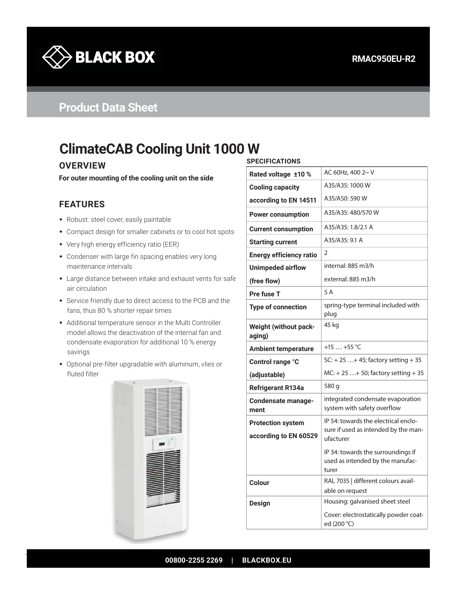

## **Product Data Sheet**

# **ClimateCAB Cooling Unit 1000 W**

#### **OVERVIEW**

**For outer mounting of the cooling unit on the side**

#### **FEATURES**

- Robust: steel cover, easily paintable
- Compact design for smaller cabinets or to cool hot spots
- Very high energy efficiency ratio (EER)
- Condenser with large fin spacing enables very long maintenance intervals
- Large distance between intake and exhaust vents for safe air circulation
- Service friendly due to direct access to the PCB and the fans, thus 80 % shorter repair times
- Additional temperature sensor in the Multi Controller model allows the deactivation of the internal fan and condensate evaporation for additional 10 % energy savings
- Optional pre-filter upgradable with aluminum, vlies or fluted filter



#### **SPECIFICATIONS**

| AC 60Hz, 400 2~ V<br>Rated voltage ±10 %<br>A35/A35: 1000 W<br><b>Cooling capacity</b><br>A35/A50: 590 W<br>according to EN 14511<br>A35/A35: 480/570 W<br><b>Power consumption</b><br>A35/A35: 1.8/2.1 A<br><b>Current consumption</b><br>A35/A35: 9.1 A<br><b>Starting current</b><br>2<br><b>Energy efficiency ratio</b><br>internal: 885 m3/h<br><b>Unimpeded airflow</b><br>external: 885 m3/h<br>(free flow)<br>5 A<br>Pre fuse T<br>spring-type terminal included with<br><b>Type of connection</b><br>plug<br>45 kg<br><b>Weight (without pack-</b><br>aging)<br>+15  +55 °C<br><b>Ambient temperature</b><br>$SC: + 25  + 45$ ; factory setting + 35<br>Control range °C<br>$MC: + 25  + 50$ ; factory setting + 35<br>(adjustable)<br>580 g<br><b>Refrigerant R134a</b><br>integrated condensate evaporation<br><b>Condensate manage-</b><br>system with safety overflow<br>ment<br>IP 54: towards the electrical enclo-<br><b>Protection system</b><br>sure if used as intended by the man-<br>according to EN 60529<br>ufacturer<br>IP 34: towards the surroundings if<br>used as intended by the manufac-<br>turer<br>RAL 7035   different colours avail-<br>Colour<br>able on request<br>Housing: galvanised sheet steel<br><b>Design</b><br>Cover: electrostatically powder coat-<br>ed (200 °C) |  |  |  |  |
|-----------------------------------------------------------------------------------------------------------------------------------------------------------------------------------------------------------------------------------------------------------------------------------------------------------------------------------------------------------------------------------------------------------------------------------------------------------------------------------------------------------------------------------------------------------------------------------------------------------------------------------------------------------------------------------------------------------------------------------------------------------------------------------------------------------------------------------------------------------------------------------------------------------------------------------------------------------------------------------------------------------------------------------------------------------------------------------------------------------------------------------------------------------------------------------------------------------------------------------------------------------------------------------------------------------------|--|--|--|--|
|                                                                                                                                                                                                                                                                                                                                                                                                                                                                                                                                                                                                                                                                                                                                                                                                                                                                                                                                                                                                                                                                                                                                                                                                                                                                                                                 |  |  |  |  |
|                                                                                                                                                                                                                                                                                                                                                                                                                                                                                                                                                                                                                                                                                                                                                                                                                                                                                                                                                                                                                                                                                                                                                                                                                                                                                                                 |  |  |  |  |
|                                                                                                                                                                                                                                                                                                                                                                                                                                                                                                                                                                                                                                                                                                                                                                                                                                                                                                                                                                                                                                                                                                                                                                                                                                                                                                                 |  |  |  |  |
|                                                                                                                                                                                                                                                                                                                                                                                                                                                                                                                                                                                                                                                                                                                                                                                                                                                                                                                                                                                                                                                                                                                                                                                                                                                                                                                 |  |  |  |  |
|                                                                                                                                                                                                                                                                                                                                                                                                                                                                                                                                                                                                                                                                                                                                                                                                                                                                                                                                                                                                                                                                                                                                                                                                                                                                                                                 |  |  |  |  |
|                                                                                                                                                                                                                                                                                                                                                                                                                                                                                                                                                                                                                                                                                                                                                                                                                                                                                                                                                                                                                                                                                                                                                                                                                                                                                                                 |  |  |  |  |
|                                                                                                                                                                                                                                                                                                                                                                                                                                                                                                                                                                                                                                                                                                                                                                                                                                                                                                                                                                                                                                                                                                                                                                                                                                                                                                                 |  |  |  |  |
|                                                                                                                                                                                                                                                                                                                                                                                                                                                                                                                                                                                                                                                                                                                                                                                                                                                                                                                                                                                                                                                                                                                                                                                                                                                                                                                 |  |  |  |  |
|                                                                                                                                                                                                                                                                                                                                                                                                                                                                                                                                                                                                                                                                                                                                                                                                                                                                                                                                                                                                                                                                                                                                                                                                                                                                                                                 |  |  |  |  |
|                                                                                                                                                                                                                                                                                                                                                                                                                                                                                                                                                                                                                                                                                                                                                                                                                                                                                                                                                                                                                                                                                                                                                                                                                                                                                                                 |  |  |  |  |
|                                                                                                                                                                                                                                                                                                                                                                                                                                                                                                                                                                                                                                                                                                                                                                                                                                                                                                                                                                                                                                                                                                                                                                                                                                                                                                                 |  |  |  |  |
|                                                                                                                                                                                                                                                                                                                                                                                                                                                                                                                                                                                                                                                                                                                                                                                                                                                                                                                                                                                                                                                                                                                                                                                                                                                                                                                 |  |  |  |  |
|                                                                                                                                                                                                                                                                                                                                                                                                                                                                                                                                                                                                                                                                                                                                                                                                                                                                                                                                                                                                                                                                                                                                                                                                                                                                                                                 |  |  |  |  |
|                                                                                                                                                                                                                                                                                                                                                                                                                                                                                                                                                                                                                                                                                                                                                                                                                                                                                                                                                                                                                                                                                                                                                                                                                                                                                                                 |  |  |  |  |
|                                                                                                                                                                                                                                                                                                                                                                                                                                                                                                                                                                                                                                                                                                                                                                                                                                                                                                                                                                                                                                                                                                                                                                                                                                                                                                                 |  |  |  |  |
|                                                                                                                                                                                                                                                                                                                                                                                                                                                                                                                                                                                                                                                                                                                                                                                                                                                                                                                                                                                                                                                                                                                                                                                                                                                                                                                 |  |  |  |  |
|                                                                                                                                                                                                                                                                                                                                                                                                                                                                                                                                                                                                                                                                                                                                                                                                                                                                                                                                                                                                                                                                                                                                                                                                                                                                                                                 |  |  |  |  |
|                                                                                                                                                                                                                                                                                                                                                                                                                                                                                                                                                                                                                                                                                                                                                                                                                                                                                                                                                                                                                                                                                                                                                                                                                                                                                                                 |  |  |  |  |
|                                                                                                                                                                                                                                                                                                                                                                                                                                                                                                                                                                                                                                                                                                                                                                                                                                                                                                                                                                                                                                                                                                                                                                                                                                                                                                                 |  |  |  |  |
|                                                                                                                                                                                                                                                                                                                                                                                                                                                                                                                                                                                                                                                                                                                                                                                                                                                                                                                                                                                                                                                                                                                                                                                                                                                                                                                 |  |  |  |  |
|                                                                                                                                                                                                                                                                                                                                                                                                                                                                                                                                                                                                                                                                                                                                                                                                                                                                                                                                                                                                                                                                                                                                                                                                                                                                                                                 |  |  |  |  |
|                                                                                                                                                                                                                                                                                                                                                                                                                                                                                                                                                                                                                                                                                                                                                                                                                                                                                                                                                                                                                                                                                                                                                                                                                                                                                                                 |  |  |  |  |
|                                                                                                                                                                                                                                                                                                                                                                                                                                                                                                                                                                                                                                                                                                                                                                                                                                                                                                                                                                                                                                                                                                                                                                                                                                                                                                                 |  |  |  |  |